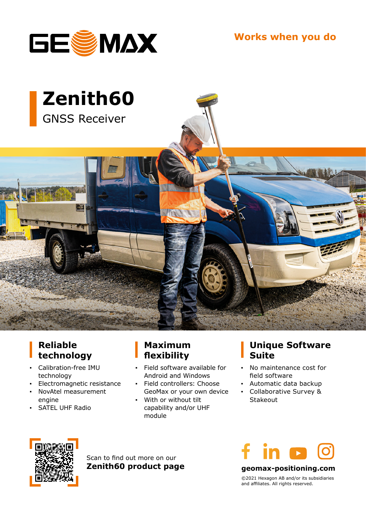

**Works when you do**



### **Reliable technology**

- **▪** Calibration-free IMU technology
- **▪** Electromagnetic resistance
- **▪** NovAtel measurement engine
- **SATEL UHF Radio**

### **Maximum flexibility**

- **▪** Field software available for Android and Windows
- **▪** Field controllers: Choose GeoMax or your own device
- With or without tilt capability and/or UHF module

### **Unique Software Suite**

- **▪** No maintenance cost for field software
- **▪** Automatic data backup
- **▪** Collaborative Survey & Stakeout



Scan to find out more on our **Zenith60 product page**



**geomax-positioning.com**

©2021 Hexagon AB and/or its subsidiaries and affiliates. All rights reserved.